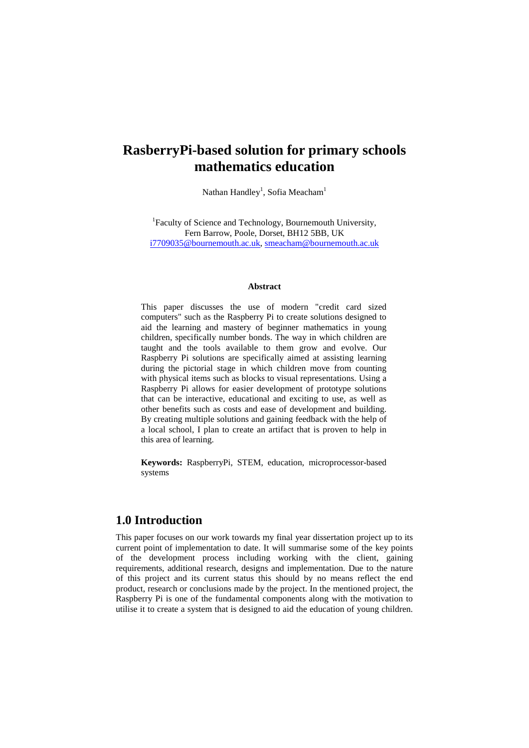# **RasberryPi-based solution for primary schools mathematics education**

Nathan Handley<sup>1</sup>, Sofia Meacham<sup>1</sup>

<sup>1</sup>Faculty of Science and Technology, Bournemouth University, Fern Barrow, Poole, Dorset, BH12 5BB, UK [i7709035@bournemouth.ac.uk,](mailto:i7709035@bournemouth.ac.uk) [smeacham@bournemouth.ac.uk](mailto:smeacham@bournemouth.ac.uk)

#### **Abstract**

This paper discusses the use of modern "credit card sized computers" such as the Raspberry Pi to create solutions designed to aid the learning and mastery of beginner mathematics in young children, specifically number bonds. The way in which children are taught and the tools available to them grow and evolve. Our Raspberry Pi solutions are specifically aimed at assisting learning during the pictorial stage in which children move from counting with physical items such as blocks to visual representations. Using a Raspberry Pi allows for easier development of prototype solutions that can be interactive, educational and exciting to use, as well as other benefits such as costs and ease of development and building. By creating multiple solutions and gaining feedback with the help of a local school, I plan to create an artifact that is proven to help in this area of learning.

**Keywords:** RaspberryPi, STEM, education, microprocessor-based systems

# **1.0 Introduction**

This paper focuses on our work towards my final year dissertation project up to its current point of implementation to date. It will summarise some of the key points of the development process including working with the client, gaining requirements, additional research, designs and implementation. Due to the nature of this project and its current status this should by no means reflect the end product, research or conclusions made by the project. In the mentioned project, the Raspberry Pi is one of the fundamental components along with the motivation to utilise it to create a system that is designed to aid the education of young children.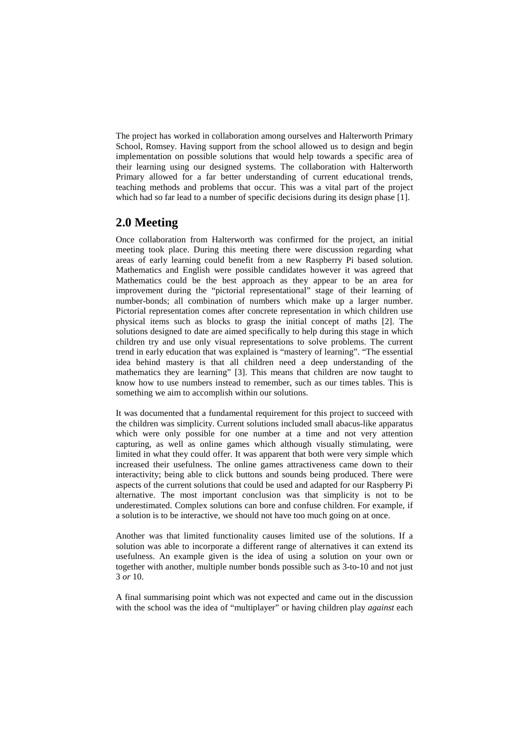The project has worked in collaboration among ourselves and Halterworth Primary School, Romsey. Having support from the school allowed us to design and begin implementation on possible solutions that would help towards a specific area of their learning using our designed systems. The collaboration with Halterworth Primary allowed for a far better understanding of current educational trends, teaching methods and problems that occur. This was a vital part of the project which had so far lead to a number of specific decisions during its design phase [1].

# **2.0 Meeting**

Once collaboration from Halterworth was confirmed for the project, an initial meeting took place. During this meeting there were discussion regarding what areas of early learning could benefit from a new Raspberry Pi based solution. Mathematics and English were possible candidates however it was agreed that Mathematics could be the best approach as they appear to be an area for improvement during the "pictorial representational" stage of their learning of number-bonds; all combination of numbers which make up a larger number. Pictorial representation comes after concrete representation in which children use physical items such as blocks to grasp the initial concept of maths [2]. The solutions designed to date are aimed specifically to help during this stage in which children try and use only visual representations to solve problems. The current trend in early education that was explained is "mastery of learning". "The essential idea behind mastery is that all children need a deep understanding of the mathematics they are learning" [3]. This means that children are now taught to know how to use numbers instead to remember, such as our times tables. This is something we aim to accomplish within our solutions.

It was documented that a fundamental requirement for this project to succeed with the children was simplicity. Current solutions included small abacus-like apparatus which were only possible for one number at a time and not very attention capturing, as well as online games which although visually stimulating, were limited in what they could offer. It was apparent that both were very simple which increased their usefulness. The online games attractiveness came down to their interactivity; being able to click buttons and sounds being produced. There were aspects of the current solutions that could be used and adapted for our Raspberry Pi alternative. The most important conclusion was that simplicity is not to be underestimated. Complex solutions can bore and confuse children. For example, if a solution is to be interactive, we should not have too much going on at once.

Another was that limited functionality causes limited use of the solutions. If a solution was able to incorporate a different range of alternatives it can extend its usefulness. An example given is the idea of using a solution on your own or together with another, multiple number bonds possible such as 3-to-10 and not just 3 *or* 10.

A final summarising point which was not expected and came out in the discussion with the school was the idea of "multiplayer" or having children play *against* each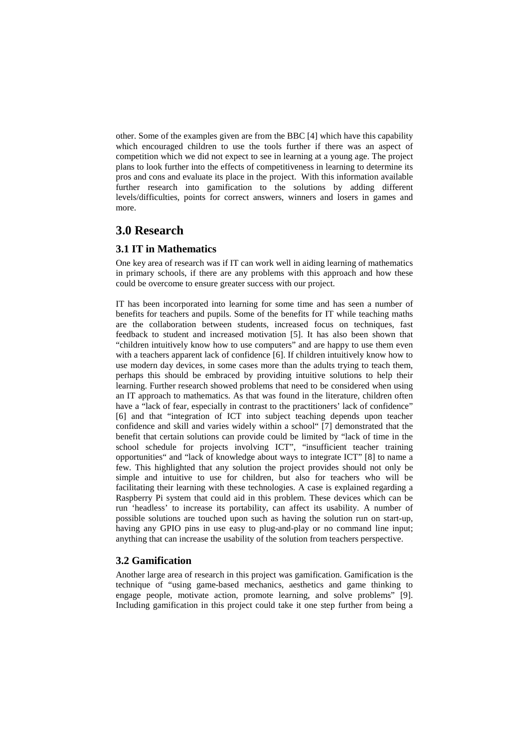other. Some of the examples given are from the BBC [4] which have this capability which encouraged children to use the tools further if there was an aspect of competition which we did not expect to see in learning at a young age. The project plans to look further into the effects of competitiveness in learning to determine its pros and cons and evaluate its place in the project. With this information available further research into gamification to the solutions by adding different levels/difficulties, points for correct answers, winners and losers in games and more.

# **3.0 Research**

#### **3.1 IT in Mathematics**

One key area of research was if IT can work well in aiding learning of mathematics in primary schools, if there are any problems with this approach and how these could be overcome to ensure greater success with our project.

IT has been incorporated into learning for some time and has seen a number of benefits for teachers and pupils. Some of the benefits for IT while teaching maths are the collaboration between students, increased focus on techniques, fast feedback to student and increased motivation [5]. It has also been shown that "children intuitively know how to use computers" and are happy to use them even with a teachers apparent lack of confidence [6]. If children intuitively know how to use modern day devices, in some cases more than the adults trying to teach them, perhaps this should be embraced by providing intuitive solutions to help their learning. Further research showed problems that need to be considered when using an IT approach to mathematics. As that was found in the literature, children often have a "lack of fear, especially in contrast to the practitioners' lack of confidence" [6] and that "integration of ICT into subject teaching depends upon teacher confidence and skill and varies widely within a school" [7] demonstrated that the benefit that certain solutions can provide could be limited by "lack of time in the school schedule for projects involving ICT", "insufficient teacher training opportunities" and "lack of knowledge about ways to integrate ICT" [8] to name a few. This highlighted that any solution the project provides should not only be simple and intuitive to use for children, but also for teachers who will be facilitating their learning with these technologies. A case is explained regarding a Raspberry Pi system that could aid in this problem. These devices which can be run 'headless' to increase its portability, can affect its usability. A number of possible solutions are touched upon such as having the solution run on start-up, having any GPIO pins in use easy to plug-and-play or no command line input; anything that can increase the usability of the solution from teachers perspective.

#### **3.2 Gamification**

Another large area of research in this project was gamification. Gamification is the technique of "using game-based mechanics, aesthetics and game thinking to engage people, motivate action, promote learning, and solve problems" [9]. Including gamification in this project could take it one step further from being a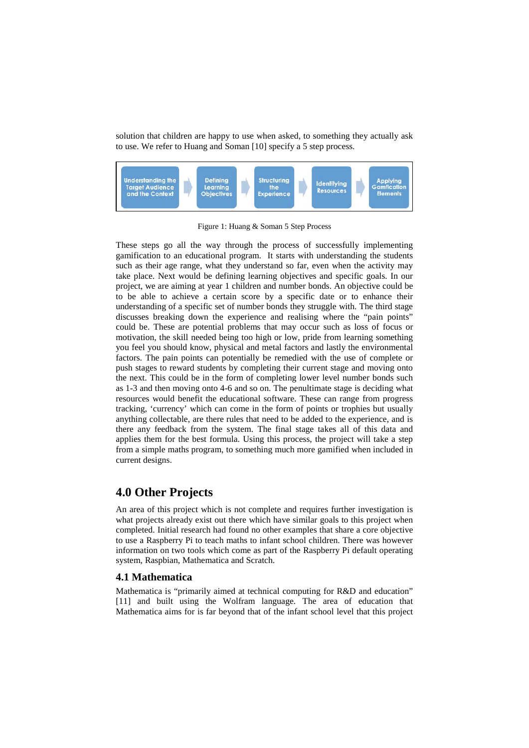solution that children are happy to use when asked, to something they actually ask to use. We refer to Huang and Soman [10] specify a 5 step process.



Figure 1: Huang & Soman 5 Step Process

These steps go all the way through the process of successfully implementing gamification to an educational program. It starts with understanding the students such as their age range, what they understand so far, even when the activity may take place. Next would be defining learning objectives and specific goals. In our project, we are aiming at year 1 children and number bonds. An objective could be to be able to achieve a certain score by a specific date or to enhance their understanding of a specific set of number bonds they struggle with. The third stage discusses breaking down the experience and realising where the "pain points" could be. These are potential problems that may occur such as loss of focus or motivation, the skill needed being too high or low, pride from learning something you feel you should know, physical and metal factors and lastly the environmental factors. The pain points can potentially be remedied with the use of complete or push stages to reward students by completing their current stage and moving onto the next. This could be in the form of completing lower level number bonds such as 1-3 and then moving onto 4-6 and so on. The penultimate stage is deciding what resources would benefit the educational software. These can range from progress tracking, 'currency' which can come in the form of points or trophies but usually anything collectable, are there rules that need to be added to the experience, and is there any feedback from the system. The final stage takes all of this data and applies them for the best formula. Using this process, the project will take a step from a simple maths program, to something much more gamified when included in current designs.

### **4.0 Other Projects**

An area of this project which is not complete and requires further investigation is what projects already exist out there which have similar goals to this project when completed. Initial research had found no other examples that share a core objective to use a Raspberry Pi to teach maths to infant school children. There was however information on two tools which come as part of the Raspberry Pi default operating system, Raspbian, Mathematica and Scratch.

#### **4.1 Mathematica**

Mathematica is "primarily aimed at technical computing for R&D and education" [11] and built using the Wolfram language. The area of education that Mathematica aims for is far beyond that of the infant school level that this project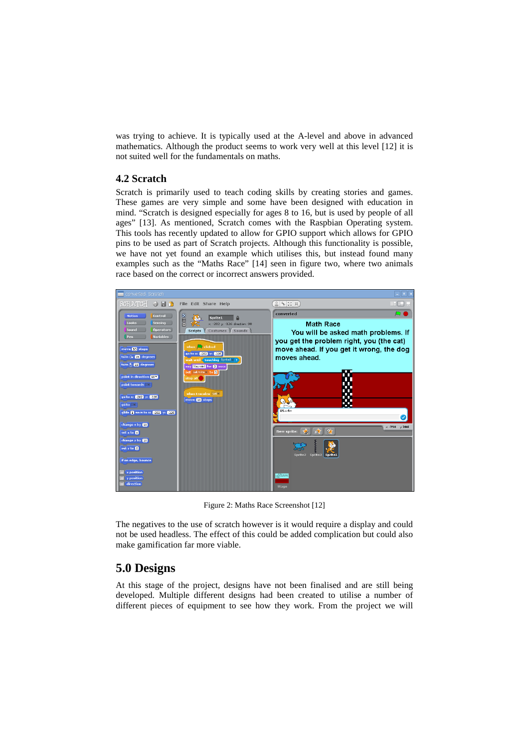was trying to achieve. It is typically used at the A-level and above in advanced mathematics. Although the product seems to work very well at this level [12] it is not suited well for the fundamentals on maths.

### **4.2 Scratch**

Scratch is primarily used to teach coding skills by creating stories and games. These games are very simple and some have been designed with education in mind. "Scratch is designed especially for ages 8 to 16, but is used by people of all ages" [13]. As mentioned, Scratch comes with the Raspbian Operating system. This tools has recently updated to allow for GPIO support which allows for GPIO pins to be used as part of Scratch projects. Although this functionality is possible, we have not yet found an example which utilises this, but instead found many examples such as the "Maths Race" [14] seen in figure two, where two animals race based on the correct or incorrect answers provided.



Figure 2: Maths Race Screenshot [12]

The negatives to the use of scratch however is it would require a display and could not be used headless. The effect of this could be added complication but could also make gamification far more viable.

# **5.0 Designs**

At this stage of the project, designs have not been finalised and are still being developed. Multiple different designs had been created to utilise a number of different pieces of equipment to see how they work. From the project we will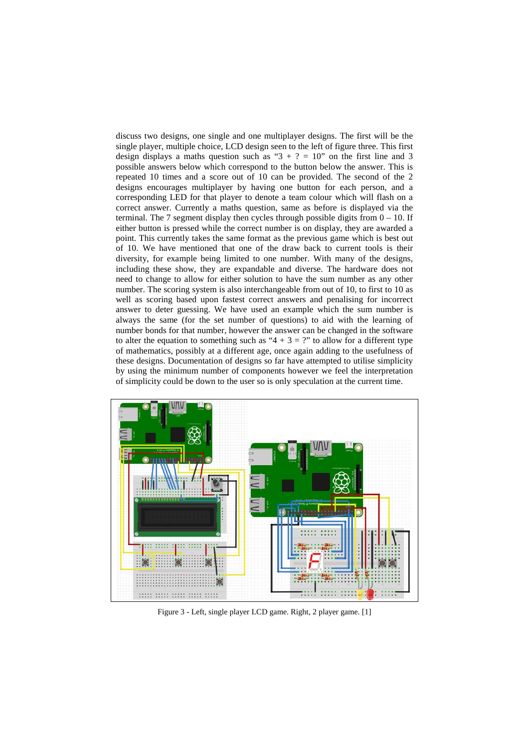discuss two designs, one single and one multiplayer designs. The first will be the single player, multiple choice, LCD design seen to the left of figure three. This first design displays a maths question such as " $3 + ? = 10$ " on the first line and 3 possible answers below which correspond to the button below the answer. This is repeated 10 times and a score out of 10 can be provided. The second of the 2 designs encourages multiplayer by having one button for each person, and a corresponding LED for that player to denote a team colour which will flash on a correct answer. Currently a maths question, same as before is displayed via the terminal. The 7 segment display then cycles through possible digits from  $0 - 10$ . If either button is pressed while the correct number is on display, they are awarded a point. This currently takes the same format as the previous game which is best out of 10. We have mentioned that one of the draw back to current tools is their diversity, for example being limited to one number. With many of the designs, including these show, they are expandable and diverse. The hardware does not need to change to allow for either solution to have the sum number as any other number. The scoring system is also interchangeable from out of 10, to first to 10 as well as scoring based upon fastest correct answers and penalising for incorrect answer to deter guessing. We have used an example which the sum number is always the same (for the set number of questions) to aid with the learning of number bonds for that number, however the answer can be changed in the software to alter the equation to something such as " $4 + 3 =$  ?" to allow for a different type of mathematics, possibly at a different age, once again adding to the usefulness of these designs. Documentation of designs so far have attempted to utilise simplicity by using the minimum number of components however we feel the interpretation of simplicity could be down to the user so is only speculation at the current time.



Figure 3 - Left, single player LCD game. Right, 2 player game. [1]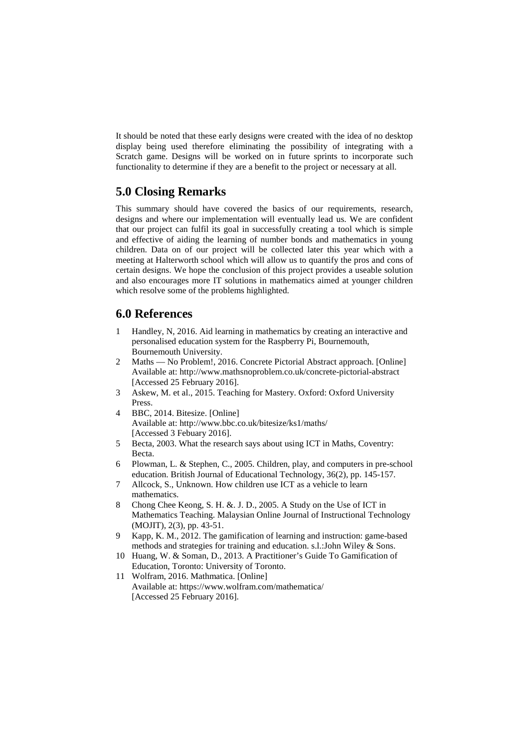It should be noted that these early designs were created with the idea of no desktop display being used therefore eliminating the possibility of integrating with a Scratch game. Designs will be worked on in future sprints to incorporate such functionality to determine if they are a benefit to the project or necessary at all.

# **5.0 Closing Remarks**

This summary should have covered the basics of our requirements, research, designs and where our implementation will eventually lead us. We are confident that our project can fulfil its goal in successfully creating a tool which is simple and effective of aiding the learning of number bonds and mathematics in young children. Data on of our project will be collected later this year which with a meeting at Halterworth school which will allow us to quantify the pros and cons of certain designs. We hope the conclusion of this project provides a useable solution and also encourages more IT solutions in mathematics aimed at younger children which resolve some of the problems highlighted.

### **6.0 References**

- 1 Handley, N, 2016. Aid learning in mathematics by creating an interactive and personalised education system for the Raspberry Pi, Bournemouth, Bournemouth University.
- 2 Maths No Problem!, 2016. Concrete Pictorial Abstract approach. [Online] Available at: http://www.mathsnoproblem.co.uk/concrete-pictorial-abstract [Accessed 25 February 2016].
- 3 Askew, M. et al., 2015. Teaching for Mastery. Oxford: Oxford University Press.
- 4 BBC, 2014. Bitesize. [Online] Available at: http://www.bbc.co.uk/bitesize/ks1/maths/ [Accessed 3 Febuary 2016].
- 5 Becta, 2003. What the research says about using ICT in Maths, Coventry: Becta.
- 6 Plowman, L. & Stephen, C., 2005. Children, play, and computers in pre-school education. British Journal of Educational Technology, 36(2), pp. 145-157.
- 7 Allcock, S., Unknown. How children use ICT as a vehicle to learn mathematics.
- 8 Chong Chee Keong, S. H. &. J. D., 2005. A Study on the Use of ICT in Mathematics Teaching. Malaysian Online Journal of Instructional Technology (MOJIT), 2(3), pp. 43-51.
- 9 Kapp, K. M., 2012. The gamification of learning and instruction: game-based methods and strategies for training and education. s.l.:John Wiley & Sons.
- 10 Huang, W. & Soman, D., 2013. A Practitioner's Guide To Gamification of Education, Toronto: University of Toronto.
- 11 Wolfram, 2016. Mathmatica. [Online] Available at: https://www.wolfram.com/mathematica/ [Accessed 25 February 2016].